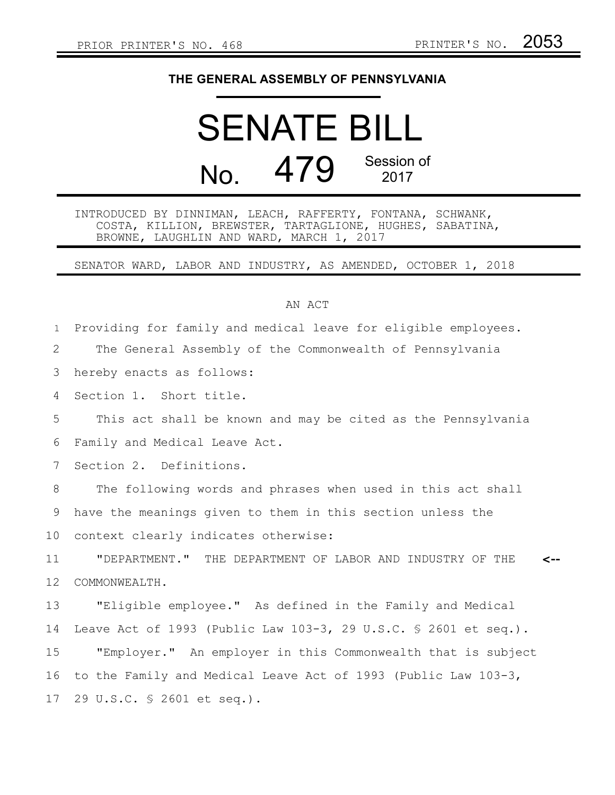## **THE GENERAL ASSEMBLY OF PENNSYLVANIA**

## SENATE BILL  $N<sub>0</sub>$  479 Session of 2017

INTRODUCED BY DINNIMAN, LEACH, RAFFERTY, FONTANA, SCHWANK, COSTA, KILLION, BREWSTER, TARTAGLIONE, HUGHES, SABATINA, BROWNE, LAUGHLIN AND WARD, MARCH 1, 2017

SENATOR WARD, LABOR AND INDUSTRY, AS AMENDED, OCTOBER 1, 2018

## AN ACT

Providing for family and medical leave for eligible employees. The General Assembly of the Commonwealth of Pennsylvania hereby enacts as follows: Section 1. Short title. This act shall be known and may be cited as the Pennsylvania Family and Medical Leave Act. Section 2. Definitions. The following words and phrases when used in this act shall have the meanings given to them in this section unless the context clearly indicates otherwise: "DEPARTMENT." THE DEPARTMENT OF LABOR AND INDUSTRY OF THE COMMONWEALTH. "Eligible employee." As defined in the Family and Medical Leave Act of 1993 (Public Law 103-3, 29 U.S.C. § 2601 et seq.). "Employer." An employer in this Commonwealth that is subject to the Family and Medical Leave Act of 1993 (Public Law 103-3, 29 U.S.C. § 2601 et seq.). **<--** 1 2 3 4 5 6 7 8 9 10 11 12 13 14 15 16 17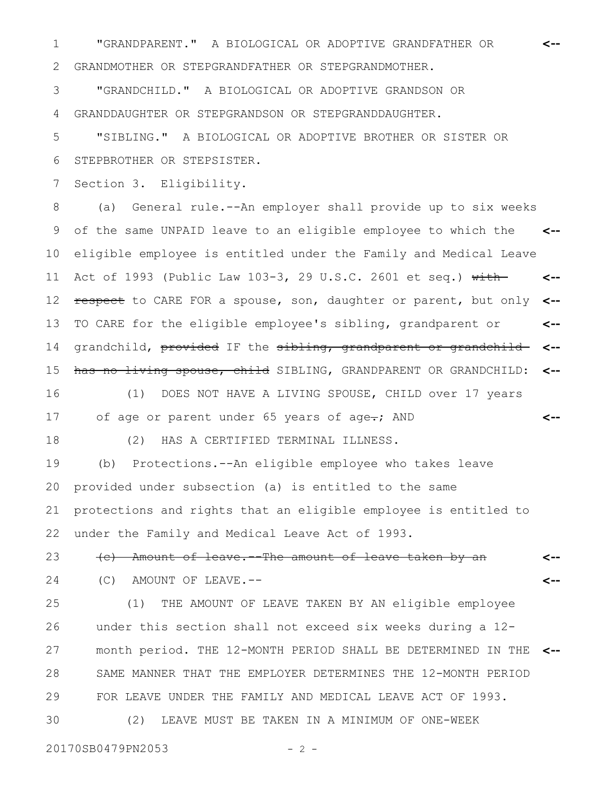"GRANDPARENT." A BIOLOGICAL OR ADOPTIVE GRANDFATHER OR 1 **<--** GRANDMOTHER OR STEPGRANDFATHER OR STEPGRANDMOTHER. 2

"GRANDCHILD." A BIOLOGICAL OR ADOPTIVE GRANDSON OR 3

GRANDDAUGHTER OR STEPGRANDSON OR STEPGRANDDAUGHTER. 4

"SIBLING." A BIOLOGICAL OR ADOPTIVE BROTHER OR SISTER OR STEPBROTHER OR STEPSISTER. 5 6

Section 3. Eligibility. 7

(a) General rule.--An employer shall provide up to six weeks of the same UNPAID leave to an eligible employee to which the eligible employee is entitled under the Family and Medical Leave Act of 1993 (Public Law 103-3, 29 U.S.C. 2601 et seq.)  $\overline{\text{with}}$ respect to CARE FOR a spouse, son, daughter or parent, but only TO CARE for the eligible employee's sibling, grandparent or grandchild, provided IF the sibling, grandparent or grandchildhas no living spouse, child SIBLING, GRANDPARENT OR GRANDCHILD: **<-- <-- <-- <-- <-- <--** 8 9 10 11 12 13 14 15

(1) DOES NOT HAVE A LIVING SPOUSE, CHILD over 17 years of age or parent under 65 years of age-; AND **<--** 16 17

(2) HAS A CERTIFIED TERMINAL ILLNESS.

(b) Protections.--An eligible employee who takes leave provided under subsection (a) is entitled to the same protections and rights that an eligible employee is entitled to under the Family and Medical Leave Act of 1993. 19 20 21 22

(c) Amount of leave.--The amount of leave taken by an **<--** 23

**<--**

24

18

(C) AMOUNT OF LEAVE.--

(1) THE AMOUNT OF LEAVE TAKEN BY AN eligible employee under this section shall not exceed six weeks during a 12 month period. THE 12-MONTH PERIOD SHALL BE DETERMINED IN THE **<--** SAME MANNER THAT THE EMPLOYER DETERMINES THE 12-MONTH PERIOD FOR LEAVE UNDER THE FAMILY AND MEDICAL LEAVE ACT OF 1993. (2) LEAVE MUST BE TAKEN IN A MINIMUM OF ONE-WEEK 25 26 27 28 29 30

20170SB0479PN2053 - 2 -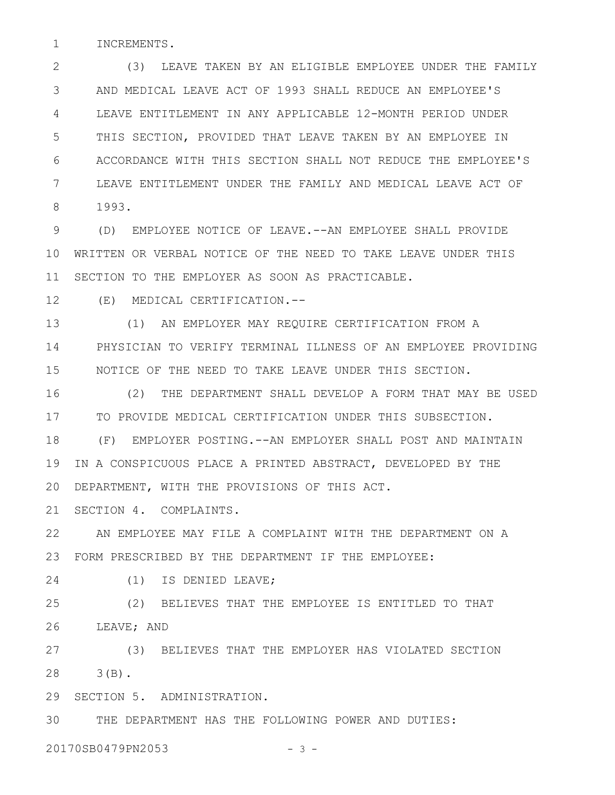INCREMENTS. 1

(3) LEAVE TAKEN BY AN ELIGIBLE EMPLOYEE UNDER THE FAMILY AND MEDICAL LEAVE ACT OF 1993 SHALL REDUCE AN EMPLOYEE'S LEAVE ENTITLEMENT IN ANY APPLICABLE 12-MONTH PERIOD UNDER THIS SECTION, PROVIDED THAT LEAVE TAKEN BY AN EMPLOYEE IN ACCORDANCE WITH THIS SECTION SHALL NOT REDUCE THE EMPLOYEE'S LEAVE ENTITLEMENT UNDER THE FAMILY AND MEDICAL LEAVE ACT OF 1993. 2 3 4 5 6 7 8

(D) EMPLOYEE NOTICE OF LEAVE.--AN EMPLOYEE SHALL PROVIDE WRITTEN OR VERBAL NOTICE OF THE NEED TO TAKE LEAVE UNDER THIS 10 SECTION TO THE EMPLOYER AS SOON AS PRACTICABLE. 9 11

(E) MEDICAL CERTIFICATION.-- 12

(1) AN EMPLOYER MAY REQUIRE CERTIFICATION FROM A PHYSICIAN TO VERIFY TERMINAL ILLNESS OF AN EMPLOYEE PROVIDING NOTICE OF THE NEED TO TAKE LEAVE UNDER THIS SECTION. 13 14 15

(2) THE DEPARTMENT SHALL DEVELOP A FORM THAT MAY BE USED TO PROVIDE MEDICAL CERTIFICATION UNDER THIS SUBSECTION. 16 17

(F) EMPLOYER POSTING.--AN EMPLOYER SHALL POST AND MAINTAIN IN A CONSPICUOUS PLACE A PRINTED ABSTRACT, DEVELOPED BY THE DEPARTMENT, WITH THE PROVISIONS OF THIS ACT. 18 19 20

SECTION 4. COMPLAINTS. 21

AN EMPLOYEE MAY FILE A COMPLAINT WITH THE DEPARTMENT ON A FORM PRESCRIBED BY THE DEPARTMENT IF THE EMPLOYEE: 23 22

(1) IS DENIED LEAVE; 24

(2) BELIEVES THAT THE EMPLOYEE IS ENTITLED TO THAT LEAVE; AND 25 26

(3) BELIEVES THAT THE EMPLOYER HAS VIOLATED SECTION 3(B). 27 28

29 SECTION 5. ADMINISTRATION.

THE DEPARTMENT HAS THE FOLLOWING POWER AND DUTIES: 30

20170SB0479PN2053 - 3 -